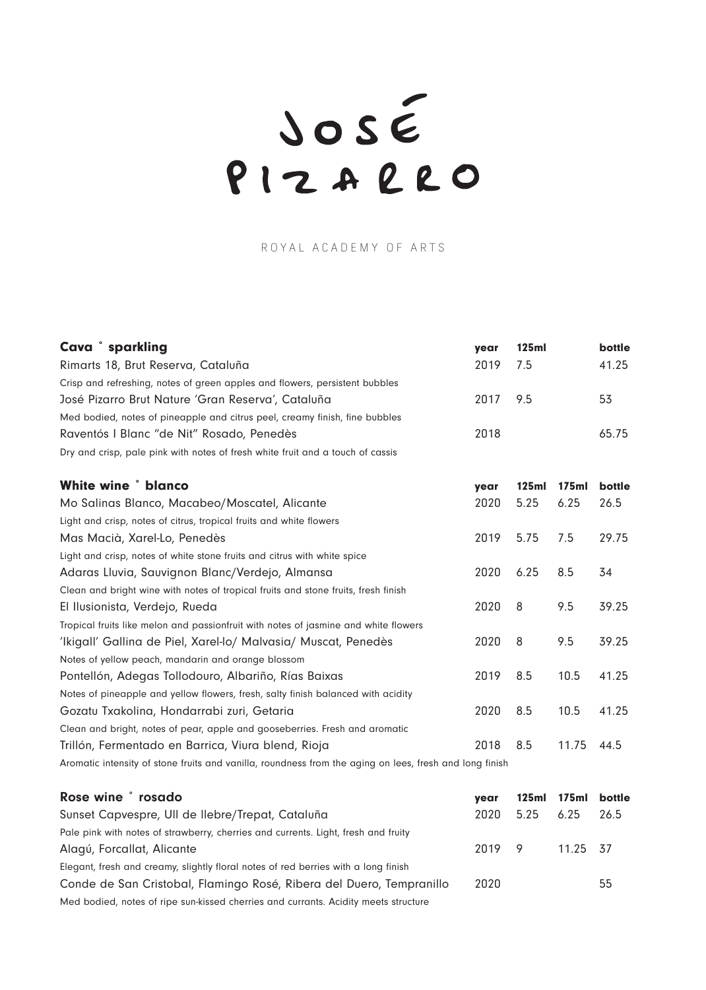PIZARRO

## ROYAL ACADEMY OF ARTS

| Cava <sup>°</sup> sparkling                                                                             | year | <b>125ml</b> |       | bottle |
|---------------------------------------------------------------------------------------------------------|------|--------------|-------|--------|
| Rimarts 18, Brut Reserva, Cataluña                                                                      | 2019 | 7.5          |       | 41.25  |
| Crisp and refreshing, notes of green apples and flowers, persistent bubbles                             |      |              |       |        |
| José Pizarro Brut Nature 'Gran Reserva', Cataluña                                                       | 2017 | 9.5          |       | 53     |
| Med bodied, notes of pineapple and citrus peel, creamy finish, fine bubbles                             |      |              |       |        |
| Raventós I Blanc "de Nit" Rosado, Penedès                                                               | 2018 |              |       | 65.75  |
| Dry and crisp, pale pink with notes of fresh white fruit and a touch of cassis                          |      |              |       |        |
| <b>White wine ° blanco</b>                                                                              | year | 125ml        | 175ml | bottle |
| Mo Salinas Blanco, Macabeo/Moscatel, Alicante                                                           | 2020 | 5.25         | 6.25  | 26.5   |
| Light and crisp, notes of citrus, tropical fruits and white flowers                                     |      |              |       |        |
| Mas Macià, Xarel-Lo, Penedès                                                                            | 2019 | 5.75         | 7.5   | 29.75  |
| Light and crisp, notes of white stone fruits and citrus with white spice                                |      |              |       |        |
| Adaras Lluvia, Sauvignon Blanc/Verdejo, Almansa                                                         | 2020 | 6.25         | 8.5   | 34     |
| Clean and bright wine with notes of tropical fruits and stone fruits, fresh finish                      |      |              |       |        |
| El Ilusionista, Verdejo, Rueda                                                                          | 2020 | 8            | 9.5   | 39.25  |
| Tropical fruits like melon and passionfruit with notes of jasmine and white flowers                     |      |              |       |        |
| 'Ikigall' Gallina de Piel, Xarel-lo/ Malvasia/ Muscat, Penedès                                          | 2020 | 8            | 9.5   | 39.25  |
| Notes of yellow peach, mandarin and orange blossom                                                      |      |              |       |        |
| Pontellón, Adegas Tollodouro, Albariño, Rías Baixas                                                     | 2019 | 8.5          | 10.5  | 41.25  |
| Notes of pineapple and yellow flowers, fresh, salty finish balanced with acidity                        |      |              |       |        |
| Gozatu Txakolina, Hondarrabi zuri, Getaria                                                              | 2020 | 8.5          | 10.5  | 41.25  |
| Clean and bright, notes of pear, apple and gooseberries. Fresh and aromatic                             |      |              |       |        |
| Trillón, Fermentado en Barrica, Viura blend, Rioja                                                      | 2018 | 8.5          | 11.75 | 44.5   |
| Aromatic intensity of stone fruits and vanilla, roundness from the aging on lees, fresh and long finish |      |              |       |        |

| Rose wine ° rosado                                                                  | vear   |      | 125ml 175ml bottle |      |
|-------------------------------------------------------------------------------------|--------|------|--------------------|------|
| Sunset Capvespre, Ull de Ilebre/Trepat, Cataluña                                    | 2020   | 5.25 | 6.25               | 26.5 |
| Pale pink with notes of strawberry, cherries and currents. Light, fresh and fruity  |        |      |                    |      |
| Alagú, Forcallat, Alicante                                                          | 2019 9 |      | 11.25 37           |      |
| Elegant, fresh and creamy, slightly floral notes of red berries with a long finish  |        |      |                    |      |
| Conde de San Cristobal, Flamingo Rosé, Ribera del Duero, Tempranillo                | 2020   |      |                    | 55   |
| Med bodied, notes of ripe sun-kissed cherries and currants. Acidity meets structure |        |      |                    |      |